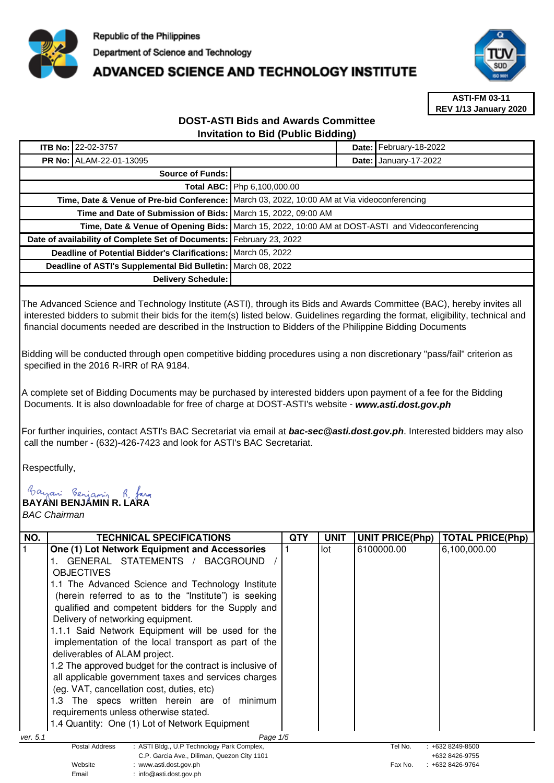

# **ADVANCED SCIENCE AND TECHNOLOGY INSTITUTE**



**ASTI-FM 03-11 REV 1/13 January 2020**

## **DOST-ASTI Bids and Awards Committee Invitation to Bid (Public Bidding)**

|                                                                      | ITB No: 22-02-3757 |                                                                                                 |                              | Date: February-18-2022 |
|----------------------------------------------------------------------|--------------------|-------------------------------------------------------------------------------------------------|------------------------------|------------------------|
| <b>PR No: ALAM-22-01-13095</b>                                       |                    |                                                                                                 | <b>Date: January-17-2022</b> |                        |
| <b>Source of Funds:</b>                                              |                    |                                                                                                 |                              |                        |
|                                                                      |                    | Total ABC: Php 6,100,000.00                                                                     |                              |                        |
|                                                                      |                    | Time, Date & Venue of Pre-bid Conference: March 03, 2022, 10:00 AM at Via videoconferencing     |                              |                        |
| Time and Date of Submission of Bids:   March 15, 2022, 09:00 AM      |                    |                                                                                                 |                              |                        |
|                                                                      |                    | Time, Date & Venue of Opening Bids: March 15, 2022, 10:00 AM at DOST-ASTI and Videoconferencing |                              |                        |
| Date of availability of Complete Set of Documents: February 23, 2022 |                    |                                                                                                 |                              |                        |
| Deadline of Potential Bidder's Clarifications: March 05, 2022        |                    |                                                                                                 |                              |                        |
| Deadline of ASTI's Supplemental Bid Bulletin: March 08, 2022         |                    |                                                                                                 |                              |                        |
| Delivery Schedule:                                                   |                    |                                                                                                 |                              |                        |

The Advanced Science and Technology Institute (ASTI), through its Bids and Awards Committee (BAC), hereby invites all interested bidders to submit their bids for the item(s) listed below. Guidelines regarding the format, eligibility, technical and financial documents needed are described in the Instruction to Bidders of the Philippine Bidding Documents

Bidding will be conducted through open competitive bidding procedures using a non discretionary "pass/fail" criterion as specified in the 2016 R-IRR of RA 9184.

A complete set of Bidding Documents may be purchased by interested bidders upon payment of a fee for the Bidding Documents. It is also downloadable for free of charge at DOST-ASTI's website - **www.asti.dost.gov.ph**

For further inquiries, contact ASTI's BAC Secretariat via email at **bac-sec@asti.dost.gov.ph**. Interested bidders may also call the number - (632)-426-7423 and look for ASTI's BAC Secretariat.

Respectfully,

**BAYANI BENJAMIN R. LARA** 

BAC Chairman

| NO.      | <b>TECHNICAL SPECIFICATIONS</b>                                     | QTY | UNIT | <b>UNIT PRICE(Php)</b> | TOTAL PRICE(Php)    |
|----------|---------------------------------------------------------------------|-----|------|------------------------|---------------------|
|          | One (1) Lot Network Equipment and Accessories                       |     | lot  | 6100000.00             | 6,100,000.00        |
|          | GENERAL STATEMENTS /<br><b>BACGROUND</b>                            |     |      |                        |                     |
|          | <b>OBJECTIVES</b>                                                   |     |      |                        |                     |
|          | 1.1 The Advanced Science and Technology Institute                   |     |      |                        |                     |
|          | (herein referred to as to the "Institute") is seeking               |     |      |                        |                     |
|          | qualified and competent bidders for the Supply and                  |     |      |                        |                     |
|          | Delivery of networking equipment.                                   |     |      |                        |                     |
|          | 1.1.1 Said Network Equipment will be used for the                   |     |      |                        |                     |
|          | implementation of the local transport as part of the                |     |      |                        |                     |
|          | deliverables of ALAM project.                                       |     |      |                        |                     |
|          | 1.2 The approved budget for the contract is inclusive of            |     |      |                        |                     |
|          | all applicable government taxes and services charges                |     |      |                        |                     |
|          | (eg. VAT, cancellation cost, duties, etc)                           |     |      |                        |                     |
|          | The specs written herein are of minimum<br>1.3                      |     |      |                        |                     |
|          | requirements unless otherwise stated.                               |     |      |                        |                     |
|          | 1.4 Quantity: One (1) Lot of Network Equipment                      |     |      |                        |                     |
| ver. 5.1 | Page 1/5                                                            |     |      |                        |                     |
|          | <b>Postal Address</b><br>: ASTI Bldg., U.P Technology Park Complex, |     |      | Tel No.                | $: +6328249 - 8500$ |
|          | C.P. Garcia Ave., Diliman, Quezon City 1101                         |     |      |                        | +632 8426-9755      |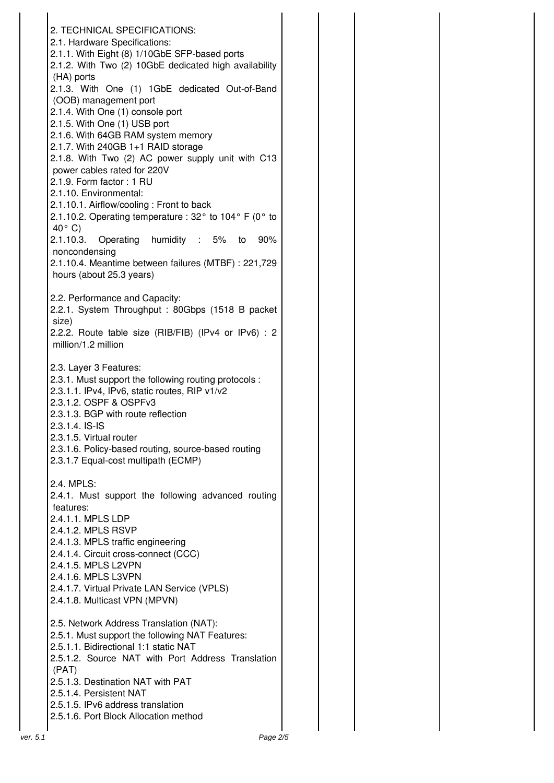|          | 2. TECHNICAL SPECIFICATIONS:                                                      |
|----------|-----------------------------------------------------------------------------------|
|          | 2.1. Hardware Specifications:                                                     |
|          | 2.1.1. With Eight (8) 1/10GbE SFP-based ports                                     |
|          | 2.1.2. With Two (2) 10GbE dedicated high availability                             |
|          | (HA) ports                                                                        |
|          | 2.1.3. With One (1) 1GbE dedicated Out-of-Band                                    |
|          | (OOB) management port                                                             |
|          | 2.1.4. With One (1) console port                                                  |
|          | 2.1.5. With One (1) USB port                                                      |
|          | 2.1.6. With 64GB RAM system memory                                                |
|          | 2.1.7. With 240GB 1+1 RAID storage                                                |
|          | 2.1.8. With Two (2) AC power supply unit with C13                                 |
|          | power cables rated for 220V                                                       |
|          | 2.1.9. Form factor: 1 RU                                                          |
|          | 2.1.10. Environmental:                                                            |
|          | 2.1.10.1. Airflow/cooling: Front to back                                          |
|          | 2.1.10.2. Operating temperature : 32 $\degree$ to 104 $\degree$ F (0 $\degree$ to |
|          | $40^{\circ}$ C)                                                                   |
|          | 2.1.10.3. Operating humidity : 5%<br>90%<br>to                                    |
|          | noncondensing                                                                     |
|          | 2.1.10.4. Meantime between failures (MTBF) : 221,729                              |
|          | hours (about 25.3 years)                                                          |
|          |                                                                                   |
|          | 2.2. Performance and Capacity:                                                    |
|          | 2.2.1. System Throughput: 80Gbps (1518 B packet                                   |
|          | size)                                                                             |
|          | 2.2.2. Route table size (RIB/FIB) (IPv4 or IPv6) : 2                              |
|          | million/1.2 million                                                               |
|          |                                                                                   |
|          | 2.3. Layer 3 Features:                                                            |
|          | 2.3.1. Must support the following routing protocols :                             |
|          | 2.3.1.1. IPv4, IPv6, static routes, RIP v1/v2                                     |
|          | 2.3.1.2. OSPF & OSPFv3                                                            |
|          | 2.3.1.3. BGP with route reflection                                                |
|          | 2.3.1.4. IS-IS                                                                    |
|          | 2.3.1.5. Virtual router                                                           |
|          | 2.3.1.6. Policy-based routing, source-based routing                               |
|          | 2.3.1.7 Equal-cost multipath (ECMP)                                               |
|          |                                                                                   |
|          | 2.4. MPLS:                                                                        |
|          | 2.4.1. Must support the following advanced routing                                |
|          | features:                                                                         |
|          | 2.4.1.1. MPLS LDP                                                                 |
|          | 2.4.1.2. MPLS RSVP                                                                |
|          | 2.4.1.3. MPLS traffic engineering                                                 |
|          | 2.4.1.4. Circuit cross-connect (CCC)                                              |
|          | 2.4.1.5. MPLS L2VPN                                                               |
|          | 2.4.1.6. MPLS L3VPN                                                               |
|          | 2.4.1.7. Virtual Private LAN Service (VPLS)                                       |
|          | 2.4.1.8. Multicast VPN (MPVN)                                                     |
|          |                                                                                   |
|          | 2.5. Network Address Translation (NAT):                                           |
|          | 2.5.1. Must support the following NAT Features:                                   |
|          | 2.5.1.1. Bidirectional 1:1 static NAT                                             |
|          | 2.5.1.2. Source NAT with Port Address Translation                                 |
|          | (PAT)                                                                             |
|          | 2.5.1.3. Destination NAT with PAT                                                 |
|          | 2.5.1.4. Persistent NAT                                                           |
|          | 2.5.1.5. IPv6 address translation                                                 |
|          | 2.5.1.6. Port Block Allocation method                                             |
|          |                                                                                   |
| ver. 5.1 | Page 2/5                                                                          |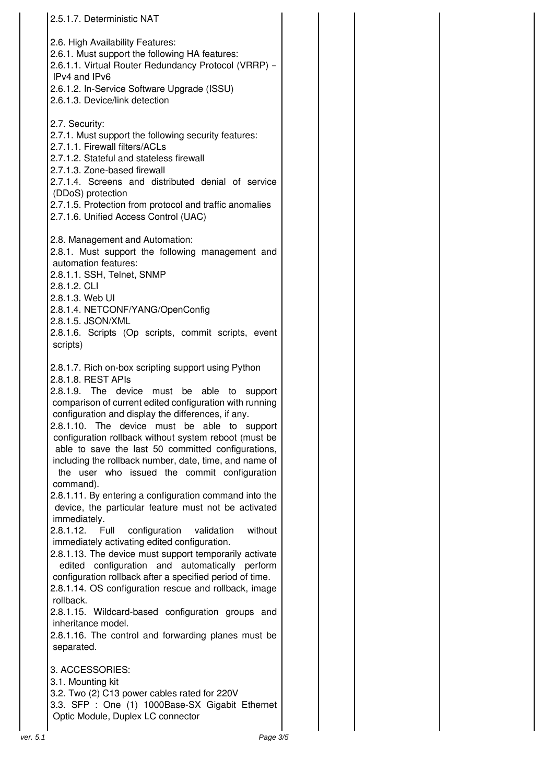| 2.5.1.7. Deterministic NAT                                                                                                                                                                                                                                                                                                                                                                                                                                                                                                                                                                                                                                                                                                                                                                                                                                                                                                                                                                                                                                                                                                                                                              |  |
|-----------------------------------------------------------------------------------------------------------------------------------------------------------------------------------------------------------------------------------------------------------------------------------------------------------------------------------------------------------------------------------------------------------------------------------------------------------------------------------------------------------------------------------------------------------------------------------------------------------------------------------------------------------------------------------------------------------------------------------------------------------------------------------------------------------------------------------------------------------------------------------------------------------------------------------------------------------------------------------------------------------------------------------------------------------------------------------------------------------------------------------------------------------------------------------------|--|
| 2.6. High Availability Features:<br>2.6.1. Must support the following HA features:<br>2.6.1.1. Virtual Router Redundancy Protocol (VRRP) -<br>IPv4 and IPv6<br>2.6.1.2. In-Service Software Upgrade (ISSU)<br>2.6.1.3. Device/link detection                                                                                                                                                                                                                                                                                                                                                                                                                                                                                                                                                                                                                                                                                                                                                                                                                                                                                                                                            |  |
| 2.7. Security:<br>2.7.1. Must support the following security features:<br>2.7.1.1. Firewall filters/ACLs<br>2.7.1.2. Stateful and stateless firewall<br>2.7.1.3. Zone-based firewall<br>2.7.1.4. Screens and distributed denial of service<br>(DDoS) protection<br>2.7.1.5. Protection from protocol and traffic anomalies<br>2.7.1.6. Unified Access Control (UAC)                                                                                                                                                                                                                                                                                                                                                                                                                                                                                                                                                                                                                                                                                                                                                                                                                     |  |
| 2.8. Management and Automation:<br>2.8.1. Must support the following management and<br>automation features:<br>2.8.1.1. SSH, Telnet, SNMP<br>2.8.1.2. CLI<br>2.8.1.3. Web UI<br>2.8.1.4. NETCONF/YANG/OpenConfig<br>2.8.1.5. JSON/XML<br>2.8.1.6. Scripts (Op scripts, commit scripts, event<br>scripts)                                                                                                                                                                                                                                                                                                                                                                                                                                                                                                                                                                                                                                                                                                                                                                                                                                                                                |  |
| 2.8.1.7. Rich on-box scripting support using Python<br>2.8.1.8. REST APIs<br>2.8.1.9. The device must be<br>able<br>to<br>support<br>comparison of current edited configuration with running<br>configuration and display the differences, if any.<br>2.8.1.10. The device must be able to support<br>configuration rollback without system reboot (must be<br>able to save the last 50 committed configurations,<br>including the rollback number, date, time, and name of<br>the user who issued the commit configuration<br>command).<br>2.8.1.11. By entering a configuration command into the<br>device, the particular feature must not be activated<br>immediately.<br>without<br>2.8.1.12.<br>configuration<br>Full<br>validation<br>immediately activating edited configuration.<br>2.8.1.13. The device must support temporarily activate<br>edited configuration and automatically perform<br>configuration rollback after a specified period of time.<br>2.8.1.14. OS configuration rescue and rollback, image<br>rollback.<br>2.8.1.15. Wildcard-based configuration groups and<br>inheritance model.<br>2.8.1.16. The control and forwarding planes must be<br>separated. |  |
| 3. ACCESSORIES:<br>3.1. Mounting kit<br>3.2. Two (2) C13 power cables rated for 220V<br>3.3. SFP : One (1) 1000Base-SX Gigabit Ethernet<br>Optic Module, Duplex LC connector                                                                                                                                                                                                                                                                                                                                                                                                                                                                                                                                                                                                                                                                                                                                                                                                                                                                                                                                                                                                            |  |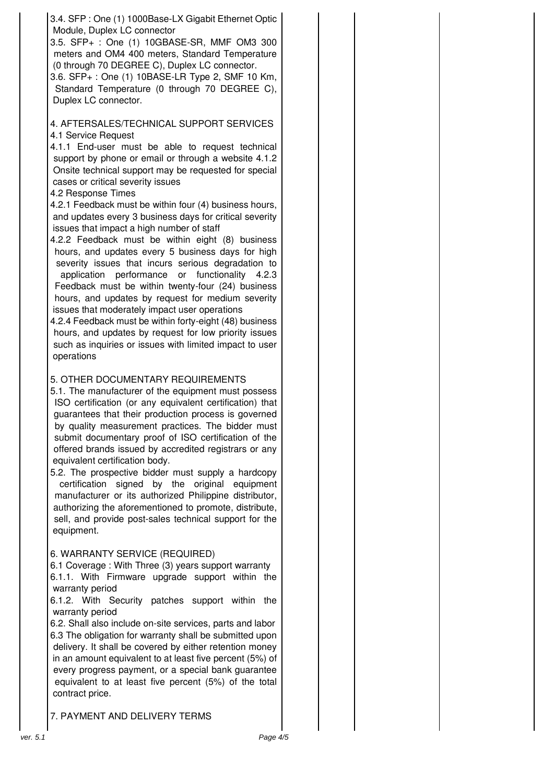3.4. SFP : One (1) 1000Base-LX Gigabit Ethernet Optic Module, Duplex LC connector

3.5. SFP+ : One (1) 10GBASE-SR, MMF OM3 300 meters and OM4 400 meters, Standard Temperature (0 through 70 DEGREE C), Duplex LC connector.

3.6. SFP+ : One (1) 10BASE-LR Type 2, SMF 10 Km, Standard Temperature (0 through 70 DEGREE C), Duplex LC connector.

### 4. AFTERSALES/TECHNICAL SUPPORT SERVICES 4.1 Service Request

4.1.1 End-user must be able to request technical support by phone or email or through a website 4.1.2 Onsite technical support may be requested for special cases or critical severity issues

#### 4.2 Response Times

4.2.1 Feedback must be within four (4) business hours, and updates every 3 business days for critical severity issues that impact a high number of staff

4.2.2 Feedback must be within eight (8) business hours, and updates every 5 business days for high severity issues that incurs serious degradation to application performance or functionality 4.2.3 Feedback must be within twenty-four (24) business hours, and updates by request for medium severity issues that moderately impact user operations

4.2.4 Feedback must be within forty-eight (48) business hours, and updates by request for low priority issues such as inquiries or issues with limited impact to user operations

#### 5. OTHER DOCUMENTARY REQUIREMENTS

5.1. The manufacturer of the equipment must possess ISO certification (or any equivalent certification) that guarantees that their production process is governed by quality measurement practices. The bidder must submit documentary proof of ISO certification of the offered brands issued by accredited registrars or any equivalent certification body.

5.2. The prospective bidder must supply a hardcopy certification signed by the original equipment manufacturer or its authorized Philippine distributor, authorizing the aforementioned to promote, distribute, sell, and provide post-sales technical support for the equipment.

#### 6. WARRANTY SERVICE (REQUIRED)

6.1 Coverage : With Three (3) years support warranty 6.1.1. With Firmware upgrade support within the warranty period

6.1.2. With Security patches support within the warranty period

6.2. Shall also include on-site services, parts and labor 6.3 The obligation for warranty shall be submitted upon delivery. It shall be covered by either retention money in an amount equivalent to at least five percent (5%) of every progress payment, or a special bank guarantee equivalent to at least five percent (5%) of the total contract price.

7. PAYMENT AND DELIVERY TERMS